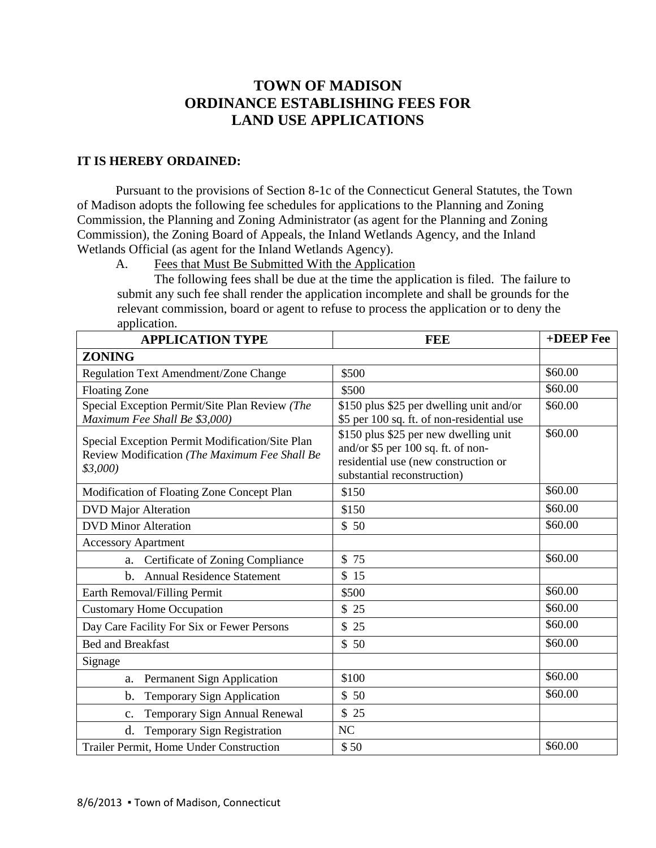## **TOWN OF MADISON ORDINANCE ESTABLISHING FEES FOR LAND USE APPLICATIONS**

## **IT IS HEREBY ORDAINED:**

Pursuant to the provisions of Section 8-1c of the Connecticut General Statutes, the Town of Madison adopts the following fee schedules for applications to the Planning and Zoning Commission, the Planning and Zoning Administrator (as agent for the Planning and Zoning Commission), the Zoning Board of Appeals, the Inland Wetlands Agency, and the Inland Wetlands Official (as agent for the Inland Wetlands Agency).

A. Fees that Must Be Submitted With the Application

The following fees shall be due at the time the application is filed. The failure to submit any such fee shall render the application incomplete and shall be grounds for the relevant commission, board or agent to refuse to process the application or to deny the application.

| <b>APPLICATION TYPE</b>                                                                                     | <b>FEE</b>                                                                                                                                         | +DEEP Fee |
|-------------------------------------------------------------------------------------------------------------|----------------------------------------------------------------------------------------------------------------------------------------------------|-----------|
| <b>ZONING</b>                                                                                               |                                                                                                                                                    |           |
| Regulation Text Amendment/Zone Change                                                                       | \$500                                                                                                                                              | \$60.00   |
| <b>Floating Zone</b>                                                                                        | \$500                                                                                                                                              | \$60.00   |
| Special Exception Permit/Site Plan Review (The<br>Maximum Fee Shall Be \$3,000)                             | \$150 plus \$25 per dwelling unit and/or<br>\$5 per 100 sq. ft. of non-residential use                                                             | \$60.00   |
| Special Exception Permit Modification/Site Plan<br>Review Modification (The Maximum Fee Shall Be<br>\$3,000 | \$150 plus \$25 per new dwelling unit<br>and/or \$5 per 100 sq. ft. of non-<br>residential use (new construction or<br>substantial reconstruction) | \$60.00   |
| Modification of Floating Zone Concept Plan                                                                  | \$150                                                                                                                                              | \$60.00   |
| <b>DVD</b> Major Alteration                                                                                 | \$150                                                                                                                                              | \$60.00   |
| <b>DVD Minor Alteration</b>                                                                                 | \$50                                                                                                                                               | \$60.00   |
| <b>Accessory Apartment</b>                                                                                  |                                                                                                                                                    |           |
| a. Certificate of Zoning Compliance                                                                         | \$75                                                                                                                                               | \$60.00   |
| <b>Annual Residence Statement</b><br>$h_{-}$                                                                | \$15                                                                                                                                               |           |
| Earth Removal/Filling Permit                                                                                | \$500                                                                                                                                              | \$60.00   |
| <b>Customary Home Occupation</b>                                                                            | \$25                                                                                                                                               | \$60.00   |
| Day Care Facility For Six or Fewer Persons                                                                  | \$25                                                                                                                                               | \$60.00   |
| <b>Bed and Breakfast</b>                                                                                    | \$50                                                                                                                                               | \$60.00   |
| Signage                                                                                                     |                                                                                                                                                    |           |
| Permanent Sign Application<br>a.                                                                            | \$100                                                                                                                                              | \$60.00   |
| Temporary Sign Application<br>b.                                                                            | \$50                                                                                                                                               | \$60.00   |
| Temporary Sign Annual Renewal<br>$C_{\bullet}$                                                              | \$25                                                                                                                                               |           |
| d.<br><b>Temporary Sign Registration</b>                                                                    | NC                                                                                                                                                 |           |
| Trailer Permit, Home Under Construction                                                                     | \$50                                                                                                                                               | \$60.00   |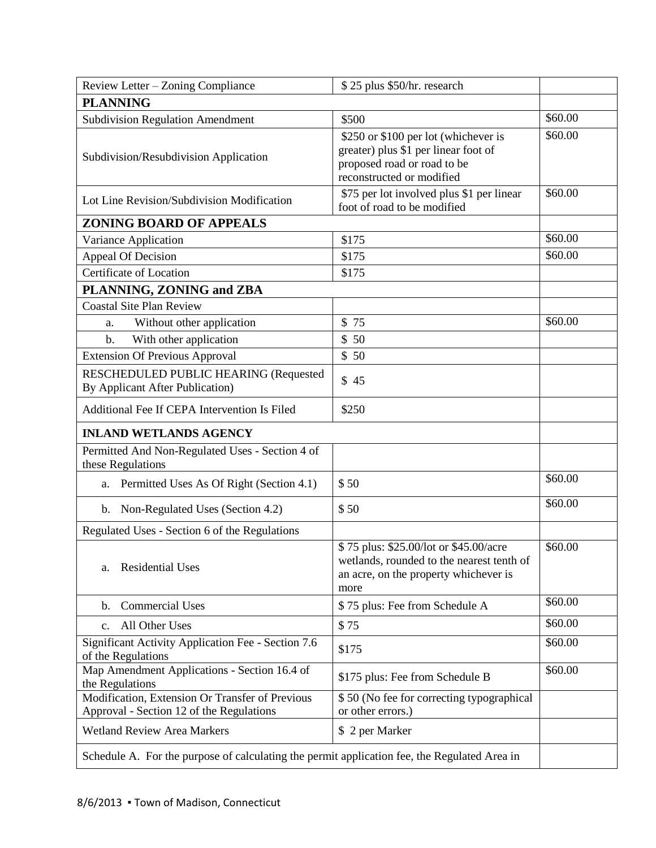| Review Letter - Zoning Compliance                                                            | \$25 plus \$50/hr. research                                                                                                              |         |  |
|----------------------------------------------------------------------------------------------|------------------------------------------------------------------------------------------------------------------------------------------|---------|--|
| <b>PLANNING</b>                                                                              |                                                                                                                                          |         |  |
| <b>Subdivision Regulation Amendment</b>                                                      | \$500                                                                                                                                    | \$60.00 |  |
| Subdivision/Resubdivision Application                                                        | \$250 or \$100 per lot (whichever is<br>greater) plus \$1 per linear foot of<br>proposed road or road to be<br>reconstructed or modified | \$60.00 |  |
| Lot Line Revision/Subdivision Modification                                                   | \$75 per lot involved plus \$1 per linear<br>foot of road to be modified                                                                 | \$60.00 |  |
| <b>ZONING BOARD OF APPEALS</b>                                                               |                                                                                                                                          |         |  |
| Variance Application                                                                         | \$175                                                                                                                                    | \$60.00 |  |
| Appeal Of Decision                                                                           | \$175                                                                                                                                    | \$60.00 |  |
| Certificate of Location                                                                      | \$175                                                                                                                                    |         |  |
| PLANNING, ZONING and ZBA                                                                     |                                                                                                                                          |         |  |
| <b>Coastal Site Plan Review</b>                                                              |                                                                                                                                          |         |  |
| Without other application<br>a.                                                              | \$75                                                                                                                                     | \$60.00 |  |
| With other application<br>b.                                                                 | \$50                                                                                                                                     |         |  |
| <b>Extension Of Previous Approval</b>                                                        | \$50                                                                                                                                     |         |  |
| RESCHEDULED PUBLIC HEARING (Requested<br>By Applicant After Publication)                     | \$45                                                                                                                                     |         |  |
| Additional Fee If CEPA Intervention Is Filed                                                 | \$250                                                                                                                                    |         |  |
| <b>INLAND WETLANDS AGENCY</b>                                                                |                                                                                                                                          |         |  |
| Permitted And Non-Regulated Uses - Section 4 of<br>these Regulations                         |                                                                                                                                          |         |  |
| Permitted Uses As Of Right (Section 4.1)<br>a.                                               | \$50                                                                                                                                     | \$60.00 |  |
| Non-Regulated Uses (Section 4.2)<br>b.                                                       | \$50                                                                                                                                     | \$60.00 |  |
| Regulated Uses - Section 6 of the Regulations                                                |                                                                                                                                          |         |  |
| <b>Residential Uses</b><br>a.                                                                | \$75 plus: \$25.00/lot or \$45.00/acre<br>wetlands, rounded to the nearest tenth of<br>an acre, on the property whichever is<br>more     | \$60.00 |  |
| <b>Commercial Uses</b><br>b.                                                                 | \$75 plus: Fee from Schedule A                                                                                                           | \$60.00 |  |
| All Other Uses<br>$C_{\bullet}$                                                              | \$75                                                                                                                                     | \$60.00 |  |
| Significant Activity Application Fee - Section 7.6<br>of the Regulations                     | \$175                                                                                                                                    | \$60.00 |  |
| Map Amendment Applications - Section 16.4 of<br>the Regulations                              | \$175 plus: Fee from Schedule B                                                                                                          | \$60.00 |  |
| Modification, Extension Or Transfer of Previous<br>Approval - Section 12 of the Regulations  | \$50 (No fee for correcting typographical<br>or other errors.)                                                                           |         |  |
| <b>Wetland Review Area Markers</b>                                                           | \$ 2 per Marker                                                                                                                          |         |  |
| Schedule A. For the purpose of calculating the permit application fee, the Regulated Area in |                                                                                                                                          |         |  |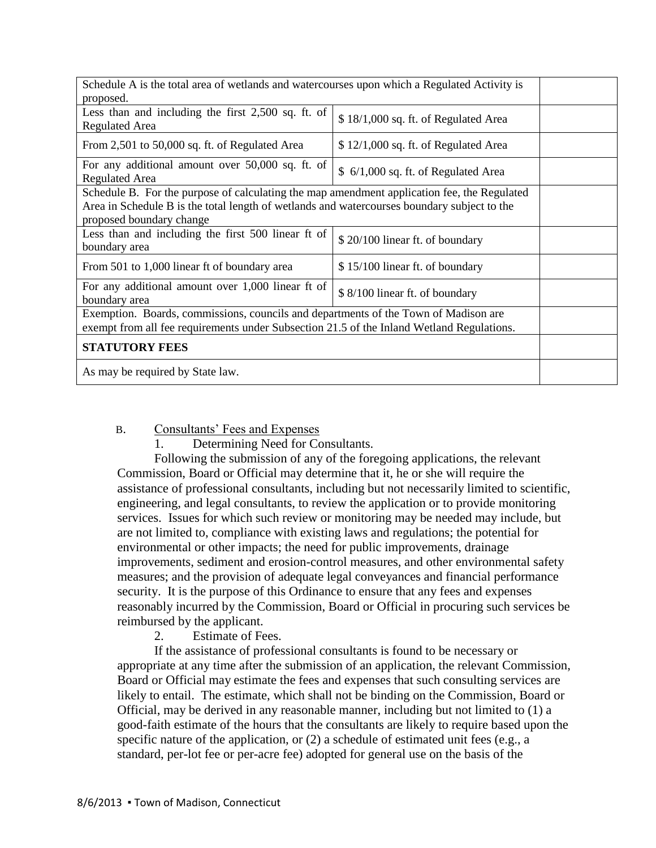| Schedule A is the total area of wetlands and watercourses upon which a Regulated Activity is<br>proposed.                                                                                                              |                                       |  |
|------------------------------------------------------------------------------------------------------------------------------------------------------------------------------------------------------------------------|---------------------------------------|--|
| Less than and including the first $2,500$ sq. ft. of<br><b>Regulated Area</b>                                                                                                                                          | \$18/1,000 sq. ft. of Regulated Area  |  |
| From 2,501 to 50,000 sq. ft. of Regulated Area                                                                                                                                                                         | $$12/1,000$ sq. ft. of Regulated Area |  |
| For any additional amount over 50,000 sq. ft. of<br><b>Regulated Area</b>                                                                                                                                              | $$6/1,000$ sq. ft. of Regulated Area  |  |
| Schedule B. For the purpose of calculating the map amendment application fee, the Regulated<br>Area in Schedule B is the total length of wetlands and watercourses boundary subject to the<br>proposed boundary change |                                       |  |
| Less than and including the first 500 linear ft of<br>boundary area                                                                                                                                                    | \$20/100 linear ft. of boundary       |  |
| From 501 to 1,000 linear ft of boundary area                                                                                                                                                                           | \$15/100 linear ft. of boundary       |  |
| For any additional amount over 1,000 linear ft of<br>boundary area                                                                                                                                                     | \$8/100 linear ft. of boundary        |  |
| Exemption. Boards, commissions, councils and departments of the Town of Madison are<br>exempt from all fee requirements under Subsection 21.5 of the Inland Wetland Regulations.                                       |                                       |  |
| <b>STATUTORY FEES</b>                                                                                                                                                                                                  |                                       |  |
| As may be required by State law.                                                                                                                                                                                       |                                       |  |

B. Consultants' Fees and Expenses

1. Determining Need for Consultants.

Following the submission of any of the foregoing applications, the relevant Commission, Board or Official may determine that it, he or she will require the assistance of professional consultants, including but not necessarily limited to scientific, engineering, and legal consultants, to review the application or to provide monitoring services. Issues for which such review or monitoring may be needed may include, but are not limited to, compliance with existing laws and regulations; the potential for environmental or other impacts; the need for public improvements, drainage improvements, sediment and erosion-control measures, and other environmental safety measures; and the provision of adequate legal conveyances and financial performance security. It is the purpose of this Ordinance to ensure that any fees and expenses reasonably incurred by the Commission, Board or Official in procuring such services be reimbursed by the applicant.

2. Estimate of Fees.

If the assistance of professional consultants is found to be necessary or appropriate at any time after the submission of an application, the relevant Commission, Board or Official may estimate the fees and expenses that such consulting services are likely to entail. The estimate, which shall not be binding on the Commission, Board or Official, may be derived in any reasonable manner, including but not limited to (1) a good-faith estimate of the hours that the consultants are likely to require based upon the specific nature of the application, or  $(2)$  a schedule of estimated unit fees (e.g., a standard, per-lot fee or per-acre fee) adopted for general use on the basis of the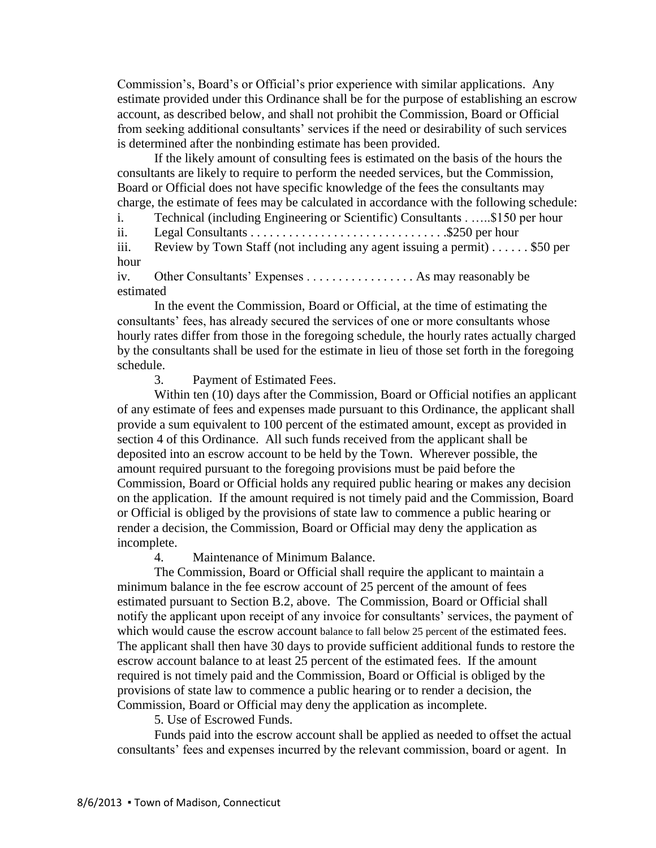Commission's, Board's or Official's prior experience with similar applications. Any estimate provided under this Ordinance shall be for the purpose of establishing an escrow account, as described below, and shall not prohibit the Commission, Board or Official from seeking additional consultants' services if the need or desirability of such services is determined after the nonbinding estimate has been provided.

If the likely amount of consulting fees is estimated on the basis of the hours the consultants are likely to require to perform the needed services, but the Commission, Board or Official does not have specific knowledge of the fees the consultants may charge, the estimate of fees may be calculated in accordance with the following schedule:

i. Technical (including Engineering or Scientific) Consultants . …..\$150 per hour ii. Legal Consultants . . . . . . . . . . . . . . . . . . . . . . . . . . . . . . .\$250 per hour iii. Review by Town Staff (not including any agent issuing a permit) . . . . . . \$50 per hour

iv. Other Consultants' Expenses . . . . . . . . . . . . . . . . . As may reasonably be estimated

In the event the Commission, Board or Official, at the time of estimating the consultants' fees, has already secured the services of one or more consultants whose hourly rates differ from those in the foregoing schedule, the hourly rates actually charged by the consultants shall be used for the estimate in lieu of those set forth in the foregoing schedule.

3. Payment of Estimated Fees.

Within ten (10) days after the Commission, Board or Official notifies an applicant of any estimate of fees and expenses made pursuant to this Ordinance, the applicant shall provide a sum equivalent to 100 percent of the estimated amount, except as provided in section 4 of this Ordinance. All such funds received from the applicant shall be deposited into an escrow account to be held by the Town. Wherever possible, the amount required pursuant to the foregoing provisions must be paid before the Commission, Board or Official holds any required public hearing or makes any decision on the application. If the amount required is not timely paid and the Commission, Board or Official is obliged by the provisions of state law to commence a public hearing or render a decision, the Commission, Board or Official may deny the application as incomplete.

4. Maintenance of Minimum Balance.

The Commission, Board or Official shall require the applicant to maintain a minimum balance in the fee escrow account of 25 percent of the amount of fees estimated pursuant to Section B.2, above. The Commission, Board or Official shall notify the applicant upon receipt of any invoice for consultants' services, the payment of which would cause the escrow account balance to fall below 25 percent of the estimated fees. The applicant shall then have 30 days to provide sufficient additional funds to restore the escrow account balance to at least 25 percent of the estimated fees. If the amount required is not timely paid and the Commission, Board or Official is obliged by the provisions of state law to commence a public hearing or to render a decision, the Commission, Board or Official may deny the application as incomplete.

5. Use of Escrowed Funds.

Funds paid into the escrow account shall be applied as needed to offset the actual consultants' fees and expenses incurred by the relevant commission, board or agent. In